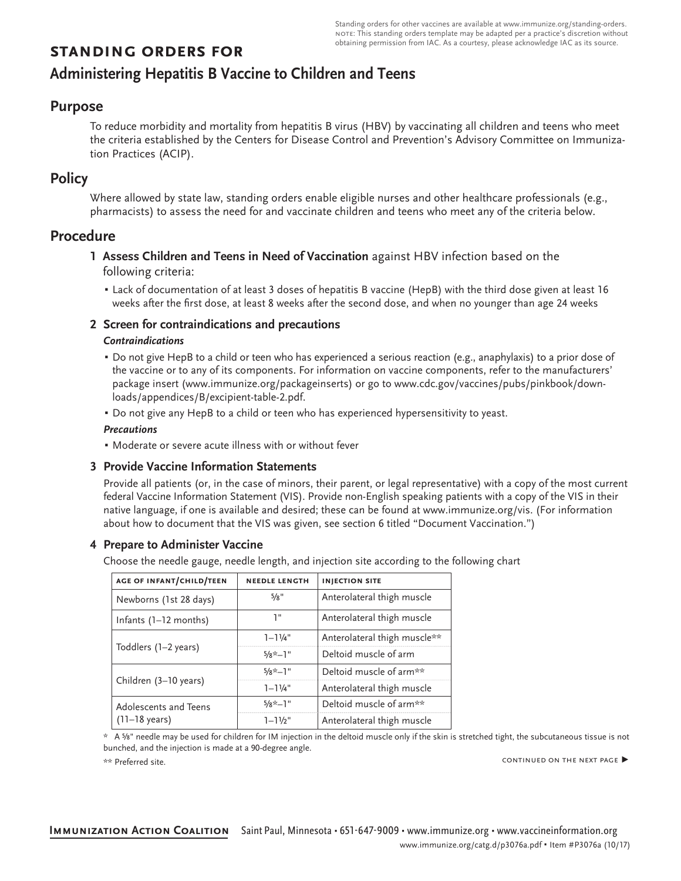# **standing orders for**

# **Administering Hepatitis B Vaccine to Children and Teens**

## **Purpose**

To reduce morbidity and mortality from hepatitis B virus (HBV) by vaccinating all children and teens who meet the criteria established by the Centers for Disease Control and Prevention's Advisory Committee on Immunization Practices (ACIP).

# **Policy**

Where allowed by state law, standing orders enable eligible nurses and other healthcare professionals (e.g., pharmacists) to assess the need for and vaccinate children and teens who meet any of the criteria below.

# **Procedure**

- **1 Assess Children and Teens in Need of Vaccination** against HBV infection based on the following criteria:
	- Lack of documentation of at least 3 doses of hepatitis B vaccine (HepB) with the third dose given at least 16 weeks after the first dose, at least 8 weeks after the second dose, and when no younger than age 24 weeks

### **2 Screen for contraindications and precautions**

### *Contraindications*

- Do not give HepB to a child or teen who has experienced a serious reaction (e.g., anaphylaxis) to a prior dose of the vaccine or to any of its components. For information on vaccine components, refer to the manufacturers' package insert (www.immunize.org/packageinserts) or go to www.cdc.gov/vaccines/pubs/pinkbook/downloads/appendices/B/excipient-table-2.pdf.
- Do not give any HepB to a child or teen who has experienced hypersensitivity to yeast.

#### *Precautions*

▪ Moderate or severe acute illness with or without fever

### **3 Provide Vaccine Information Statements**

Provide all patients (or, in the case of minors, their parent, or legal representative) with a copy of the most current federal Vaccine Information Statement (VIS). Provide non-English speaking patients with a copy of the VIS in their native language, if one is available and desired; these can be found at www.immunize.org/vis. (For information about how to document that the VIS was given, see section 6 titled "Document Vaccination.")

### **4 Prepare to Administer Vaccine**

Choose the needle gauge, needle length, and injection site according to the following chart

| AGE OF INFANT/CHILD/TEEN                         | <b>NEEDLE LENGTH</b> | <b>INJECTION SITE</b>        |  |
|--------------------------------------------------|----------------------|------------------------------|--|
| Newborns (1st 28 days)                           | 5/8"                 | Anterolateral thigh muscle   |  |
| Infants $(1-12$ months)                          | יי ד                 | Anterolateral thigh muscle   |  |
| Toddlers (1-2 years)                             | $1 - 1\frac{1}{4}$   | Anterolateral thigh muscle** |  |
|                                                  | $5/8 \times -1$ "    | Deltoid muscle of arm        |  |
| Children (3-10 years)                            | $5/8$ *-1"           | Deltoid muscle of arm**      |  |
|                                                  | $1 - 11/4$ "         | Anterolateral thigh muscle   |  |
| Adolescents and Teens<br>$(11-18 \text{ years})$ | $5/8$ *-1"           | Deltoid muscle of arm**      |  |
|                                                  | $1 - 11/2$ "         | Anterolateral thigh muscle   |  |

\* A ⅝" needle may be used for children for IM injection in the deltoid muscle only if the skin is stretched tight, the subcutaneous tissue is not bunched, and the injection is made at a 90-degree angle.

\*\* Preferred site.

continued on the next page ▶